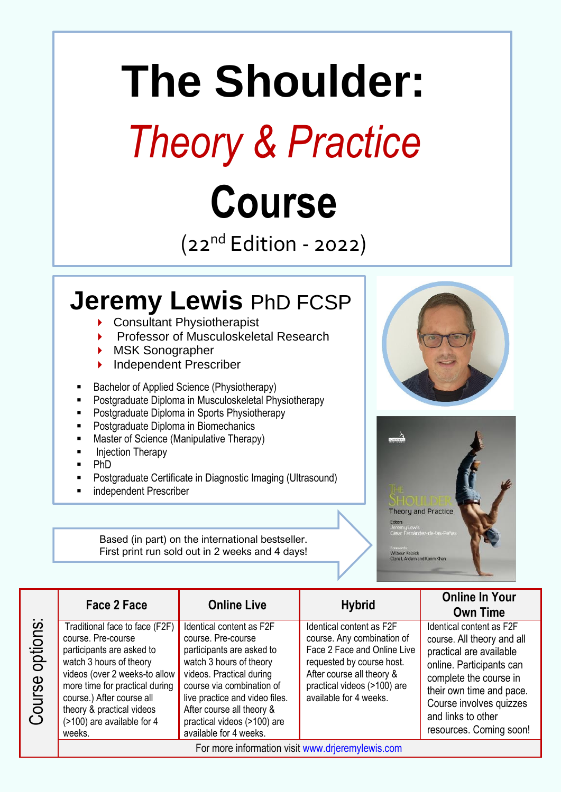# **The Shoulder:** *Theory & Practice* **Course**

 $(22<sup>nd</sup> Edition - 2022)$ 

# **Jeremy Lewis** PhD FCSP

- ▶ Consultant Physiotherapist
- Professor of Musculoskeletal Research
- MSK Sonographer
- Independent Prescriber
- Bachelor of Applied Science (Physiotherapy)
- Postgraduate Diploma in Musculoskeletal Physiotherapy
- Postgraduate Diploma in Sports Physiotherapy
- Postgraduate Diploma in Biomechanics
- Master of Science (Manipulative Therapy)
- **Injection Therapy**
- Ph<sub>D</sub>
- Postgraduate Certificate in Diagnostic Imaging (Ultrasound)
- independent Prescriber

Based (in part) on the international bestseller. First print run sold out in 2 weeks and 4 days!





Traditional face to face (F2F) course. Pre-course participants are asked to watch 3 hours of theory videos (over 2 weeks-to allow more time for practical during course.) After course all theory & practical videos (>100) are available for 4 weeks.

Course options:

Course options:

Identical content as F2F course. Pre-course participants are asked to watch 3 hours of theory videos. Practical during course via combination of live practice and video files. After course all theory & practical videos (>100) are available for 4 weeks.

Identical content as F2F course. Any combination of Face 2 Face and Online Live requested by course host. After course all theory & practical videos (>100) are available for 4 weeks.

### **Face 2 Face Online Live Hybrid Online In Your Own Time**

Identical content as F2F course. All theory and all practical are available online. Participants can complete the course in their own time and pace. Course involves quizzes and links to other resources. Coming soon!

For more information visit [www.drjeremylewis.com](http://www.drjeremylewis.com/)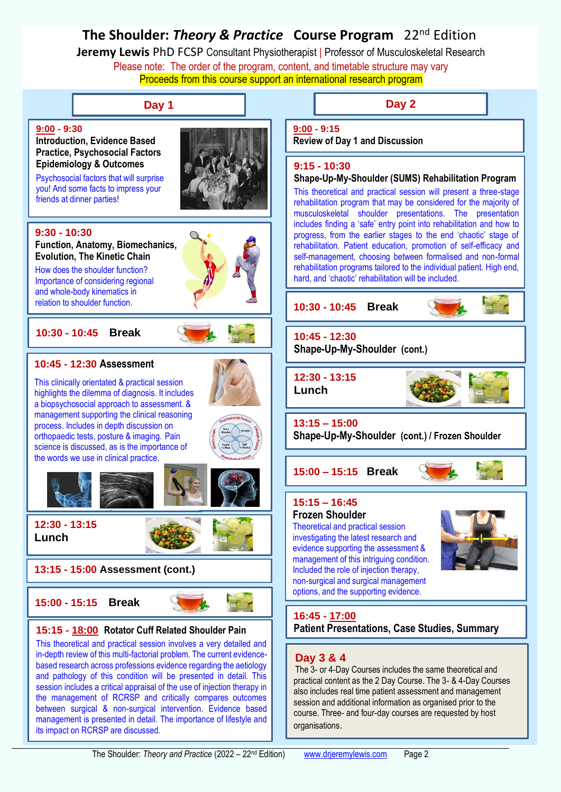## **The Shoulder:** *Theory & Practice* **Course Program** 22nd Edition

**Jeremy Lewis** PhD FCSP Consultant Physiotherapist | Professor of Musculoskeletal Research Please note: The order of the program, content, and timetable structure may vary Proceeds from this course support an international research program